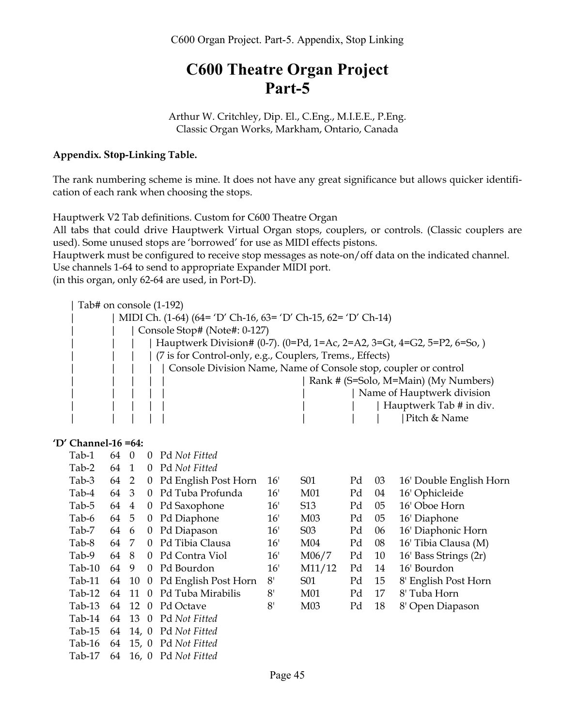# **C600 Theatre Organ Project Part-5**

Arthur W. Critchley, Dip. El., C.Eng., M.I.E.E., P.Eng. Classic Organ Works, Markham, Ontario, Canada

### **Appendix. Stop-Linking Table.**

The rank numbering scheme is mine. It does not have any great significance but allows quicker identification of each rank when choosing the stops.

Hauptwerk V2 Tab definitions. Custom for C600 Theatre Organ

All tabs that could drive Hauptwerk Virtual Organ stops, couplers, or controls. (Classic couplers are used). Some unused stops are 'borrowed' for use as MIDI effects pistons.

Hauptwerk must be configured to receive stop messages as note-on/off data on the indicated channel. Use channels 1-64 to send to appropriate Expander MIDI port.

(in this organ, only 62-64 are used, in Port-D).

| Tab# on console (1-192)                                       |                                                                        |  |  |  |  |  |  |
|---------------------------------------------------------------|------------------------------------------------------------------------|--|--|--|--|--|--|
| MIDI Ch. (1-64) (64= 'D' Ch-16, 63= 'D' Ch-15, 62= 'D' Ch-14) |                                                                        |  |  |  |  |  |  |
|                                                               | Console Stop# (Note#: 0-127)                                           |  |  |  |  |  |  |
|                                                               | Hauptwerk Division# (0-7). (0=Pd, 1=Ac, 2=A2, 3=Gt, 4=G2, 5=P2, 6=So,) |  |  |  |  |  |  |
|                                                               | (7 is for Control-only, e.g., Couplers, Trems., Effects)               |  |  |  |  |  |  |
|                                                               | Console Division Name, Name of Console stop, coupler or control        |  |  |  |  |  |  |
|                                                               | Rank # (S=Solo, M=Main) (My Numbers)                                   |  |  |  |  |  |  |
|                                                               | Name of Hauptwerk division                                             |  |  |  |  |  |  |
|                                                               | Hauptwerk Tab # in div.                                                |  |  |  |  |  |  |
|                                                               | Pitch & Name                                                           |  |  |  |  |  |  |
|                                                               |                                                                        |  |  |  |  |  |  |

#### **'D' Channel-16 =64:**

| Tab-1    | 64 | $\theta$       | 0              | Pd Not Fitted        |     |                  |    |    |                         |
|----------|----|----------------|----------------|----------------------|-----|------------------|----|----|-------------------------|
| Tab-2    | 64 | $\mathbf{1}$   | 0              | Pd Not Fitted        |     |                  |    |    |                         |
| Tab-3    | 64 | 2              | 0              | Pd English Post Horn | 16' | S <sub>0</sub> 1 | Pd | 03 | 16' Double English Horn |
| Tab-4    | 64 | 3              | 0              | Pd Tuba Profunda     | 16' | M01              | Pd | 04 | 16' Ophicleide          |
| Tab-5    | 64 | $\overline{4}$ | $\theta$       | Pd Saxophone         | 16' | S <sub>13</sub>  | Pd | 05 | 16' Oboe Horn           |
| Tab-6    | 64 | 5              | $\theta$       | Pd Diaphone          | 16' | M <sub>03</sub>  | Pd | 05 | 16' Diaphone            |
| Tab-7    | 64 | 6              | 0              | Pd Diapason          | 16' | S <sub>0</sub> 3 | Pd | 06 | 16' Diaphonic Horn      |
| Tab-8    | 64 | 7              | 0              | Pd Tibia Clausa      | 16' | M <sub>04</sub>  | Pd | 08 | 16' Tibia Clausa (M)    |
| Tab-9    | 64 | 8              | $\Omega$       | Pd Contra Viol       | 16' | M06/7            | Pd | 10 | 16' Bass Strings (2r)   |
| $Tab-10$ | 64 | 9              | 0              | Pd Bourdon           | 16' | M11/12           | Pd | 14 | 16' Bourdon             |
| $Tab-11$ | 64 | 10             | $\overline{0}$ | Pd English Post Horn | 8'  | S <sub>01</sub>  | Pd | 15 | 8' English Post Horn    |
| $Tab-12$ | 64 | 11             | $\Omega$       | Pd Tuba Mirabilis    | 8'  | M <sub>01</sub>  | Pd | 17 | 8' Tuba Horn            |
| $Tab-13$ | 64 | 12             | $\Omega$       | Pd Octave            | 8'  | M <sub>03</sub>  | Pd | 18 | 8' Open Diapason        |
| Tab-14   | 64 | 13 0           |                | Pd Not Fitted        |     |                  |    |    |                         |
| $Tab-15$ | 64 | 14, 0          |                | Pd Not Fitted        |     |                  |    |    |                         |
| $Tab-16$ | 64 |                |                | 15, 0 Pd Not Fitted  |     |                  |    |    |                         |
| Tab-17   | 64 |                |                | 16, 0 Pd Not Fitted  |     |                  |    |    |                         |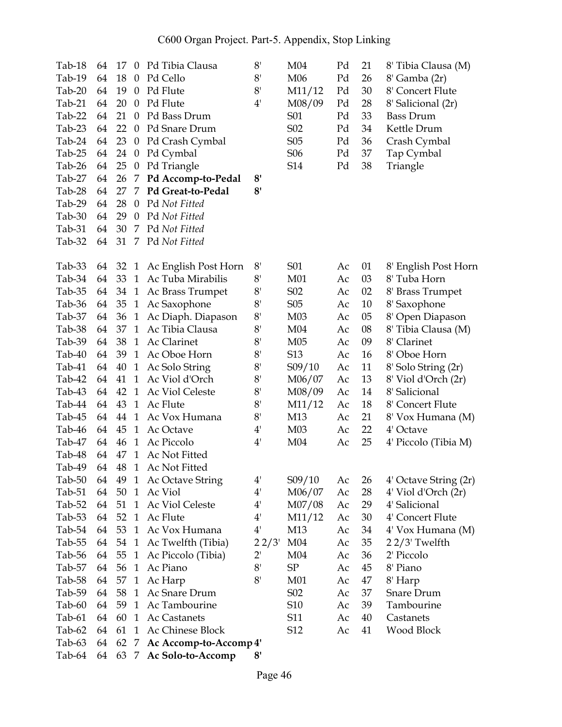| Tab-18   | 64 | 17 | $\theta$                     | Pd Tibia Clausa                  | 8'                                   | M <sub>04</sub>  | Pd | 21 | 8' Tibia Clausa (M)                        |
|----------|----|----|------------------------------|----------------------------------|--------------------------------------|------------------|----|----|--------------------------------------------|
| Tab-19   | 64 | 18 | $\theta$                     | Pd Cello                         | 8'                                   | M06              | Pd | 26 | 8' Gamba (2r)                              |
| $Tab-20$ | 64 | 19 | $\mathbf{0}$                 | Pd Flute                         | 8'                                   | M11/12           | Pd | 30 | 8' Concert Flute                           |
| $Tab-21$ | 64 | 20 | $\boldsymbol{0}$             | Pd Flute                         | 4'                                   | M08/09           | Pd | 28 | 8' Salicional (2r)                         |
| Tab-22   | 64 | 21 | $\theta$                     | Pd Bass Drum                     |                                      | S01              | Pd | 33 | <b>Bass Drum</b>                           |
| $Tab-23$ | 64 | 22 | $\overline{0}$               | Pd Snare Drum                    |                                      | S <sub>0</sub> 2 | Pd | 34 | Kettle Drum                                |
| Tab-24   | 64 | 23 | $\theta$                     | Pd Crash Cymbal                  |                                      | S <sub>05</sub>  | Pd | 36 | Crash Cymbal                               |
| Tab-25   | 64 | 24 | $\theta$                     | Pd Cymbal                        |                                      | S <sub>06</sub>  | Pd | 37 | Tap Cymbal                                 |
| Tab-26   | 64 | 25 | $\boldsymbol{0}$             | Pd Triangle                      |                                      | S14              | Pd | 38 | Triangle                                   |
| Tab-27   | 64 | 26 | 7                            | Pd Accomp-to-Pedal               | 8'                                   |                  |    |    |                                            |
| Tab-28   | 64 | 27 | 7                            | Pd Great-to-Pedal                | 8'                                   |                  |    |    |                                            |
| Tab-29   | 64 | 28 | $\theta$                     | Pd Not Fitted                    |                                      |                  |    |    |                                            |
| Tab-30   | 64 | 29 | $\theta$                     | Pd Not Fitted                    |                                      |                  |    |    |                                            |
| $Tab-31$ | 64 | 30 |                              | 7 Pd Not Fitted                  |                                      |                  |    |    |                                            |
| Tab-32   | 64 | 31 |                              | 7 Pd Not Fitted                  |                                      |                  |    |    |                                            |
| Tab-33   | 64 | 32 | $\mathbf{1}$                 | Ac English Post Horn             | 8'                                   | S01              | Ac | 01 | 8' English Post Horn                       |
| Tab-34   | 64 | 33 | $\mathbf{1}$                 | Ac Tuba Mirabilis                | 8 <sup>1</sup>                       | M <sub>01</sub>  | Ac | 03 | 8' Tuba Horn                               |
| Tab-35   | 64 | 34 | $\mathbf{1}$                 | Ac Brass Trumpet                 | 8'                                   | S <sub>0</sub> 2 | Ac | 02 | 8' Brass Trumpet                           |
| Tab-36   | 64 | 35 | $\mathbf{1}$                 | Ac Saxophone                     | 8'                                   | S <sub>05</sub>  | Ac | 10 | 8' Saxophone                               |
| Tab-37   | 64 | 36 | $\mathbf{1}$                 | Ac Diaph. Diapason               | 8'                                   | M <sub>03</sub>  | Ac | 05 | 8' Open Diapason                           |
| Tab-38   | 64 | 37 | $\mathbf{1}$                 | Ac Tibia Clausa                  | 8'                                   | M <sub>04</sub>  | Ac | 08 | 8' Tibia Clausa (M)                        |
| Tab-39   | 64 | 38 | $\mathbf{1}$                 | Ac Clarinet                      | 8'                                   | M <sub>05</sub>  | Ac | 09 | 8' Clarinet                                |
| Tab-40   | 64 | 39 | $\mathbf{1}$                 | Ac Oboe Horn                     | 8'                                   | S <sub>13</sub>  | Ac | 16 | 8' Oboe Horn                               |
| Tab-41   | 64 | 40 |                              |                                  | $8'$                                 |                  | Ac | 11 |                                            |
| Tab-42   | 64 | 41 | $\mathbf{1}$<br>$\mathbf{1}$ | Ac Solo String<br>Ac Viol d'Orch | 8'                                   | S09/10           |    | 13 | 8' Solo String (2r)<br>8' Viol d'Orch (2r) |
|          | 64 | 42 | $\mathbf{1}$                 |                                  |                                      | M06/07           | Ac |    | 8' Salicional                              |
| Tab-43   | 64 |    | $\mathbf{1}$                 | Ac Viol Celeste<br>Ac Flute      | 8'<br>8'                             | M08/09           | Ac | 14 |                                            |
| Tab-44   |    | 43 |                              |                                  |                                      | M11/12           | Ac | 18 | 8' Concert Flute                           |
| Tab-45   | 64 | 44 | $\mathbf{1}$                 | Ac Vox Humana                    | 8'                                   | M13              | Ac | 21 | 8' Vox Humana (M)                          |
| Tab-46   | 64 | 45 | $\mathbf{1}$                 | Ac Octave                        | 4'                                   | M <sub>03</sub>  | Ac | 22 | 4' Octave                                  |
| Tab-47   | 64 | 46 | 1                            | Ac Piccolo                       | $4^{\prime}$                         | M <sub>04</sub>  | Ac | 25 | 4' Piccolo (Tibia M)                       |
| Tab-48   | 64 | 47 | $\mathbf{1}$                 | Ac Not Fitted                    |                                      |                  |    |    |                                            |
| Tab-49   | 64 | 48 |                              | 1 Ac Not Fitted                  |                                      |                  |    |    |                                            |
| Tab-50   | 64 |    |                              | 49 1 Ac Octave String            | 4'                                   | S09/10           | Ac | 26 | 4' Octave String (2r)                      |
| $Tab-51$ | 64 | 50 | $\mathbf{1}$                 | Ac Viol                          | $4^{\scriptscriptstyle{\mathsf{I}}}$ | M06/07           | Ac | 28 | 4' Viol d'Orch (2r)                        |
| Tab-52   | 64 | 51 | $\mathbf{1}$                 | Ac Viol Celeste                  | $4^{\prime}$                         | M07/08           | Ac | 29 | 4' Salicional                              |
| Tab-53   | 64 | 52 | $\mathbf{1}$                 | Ac Flute                         | $4^{\prime}$                         | M11/12           | Ac | 30 | 4' Concert Flute                           |
| Tab-54   | 64 | 53 | $\mathbf{1}$                 | Ac Vox Humana                    | $4^{\scriptscriptstyle{\mathsf{I}}}$ | M13              | Ac | 34 | 4' Vox Humana (M)                          |
| Tab-55   | 64 | 54 | $\mathbf{1}$                 | Ac Twelfth (Tibia)               | 22/3'                                | M <sub>04</sub>  | Ac | 35 | 22/3' Twelfth                              |
| Tab-56   | 64 | 55 | $\mathbf{1}$                 | Ac Piccolo (Tibia)               | $2^{\prime}$                         | M <sub>04</sub>  | Ac | 36 | 2' Piccolo                                 |
| Tab-57   | 64 | 56 | $\mathbf{1}$                 | Ac Piano                         | 8 <sup>1</sup>                       | SP               | Ac | 45 | 8' Piano                                   |
| Tab-58   | 64 | 57 | $\mathbf{1}$                 | Ac Harp                          | 8'                                   | M01              | Ac | 47 | 8' Harp                                    |
| Tab-59   | 64 | 58 | $\mathbf{1}$                 | Ac Snare Drum                    |                                      | S <sub>0</sub> 2 | Ac | 37 | Snare Drum                                 |
| Tab-60   | 64 | 59 | $\mathbf{1}$                 | Ac Tambourine                    |                                      | S <sub>10</sub>  | Ac | 39 | Tambourine                                 |
| Tab-61   | 64 | 60 | $\mathbf{1}$                 | Ac Castanets                     |                                      | S11              | Ac | 40 | Castanets                                  |
| Tab-62   | 64 | 61 | $\mathbf{1}$                 | Ac Chinese Block                 |                                      | S12              | Ac | 41 | Wood Block                                 |
| Tab-63   | 64 | 62 | 7                            | Ac Accomp-to-Accomp 4'           |                                      |                  |    |    |                                            |
| Tab-64   | 64 | 63 | 7                            | Ac Solo-to-Accomp                | 8'                                   |                  |    |    |                                            |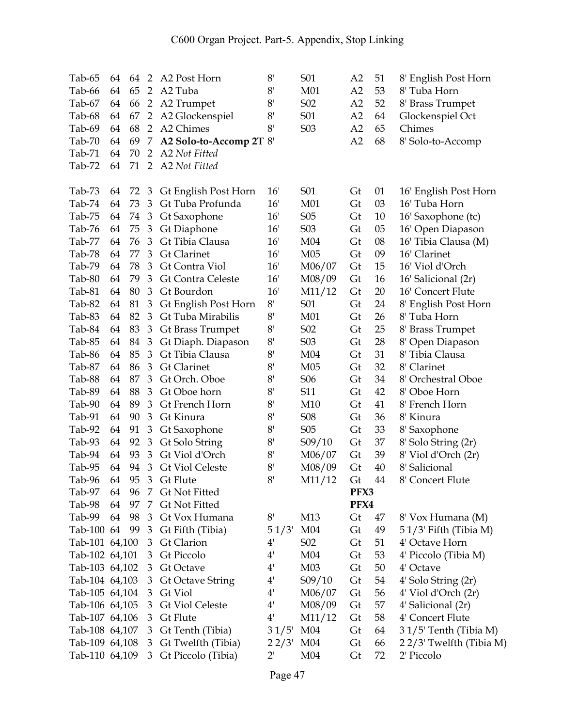| Tab-65         | 64 | 64 | $\overline{2}$ | A2 Post Horn             | 8'                                   | S <sub>01</sub>  | A <sub>2</sub> | 51 | 8' English Post Horn     |
|----------------|----|----|----------------|--------------------------|--------------------------------------|------------------|----------------|----|--------------------------|
| Tab-66         | 64 | 65 | $\overline{2}$ | A <sub>2</sub> Tuba      | 8'                                   | M01              | A2             | 53 | 8' Tuba Horn             |
| Tab-67         | 64 | 66 |                | 2 A2 Trumpet             | 8'                                   | S <sub>0</sub> 2 | A2             | 52 | 8' Brass Trumpet         |
| Tab-68         | 64 | 67 | 2              | A2 Glockenspiel          | 8'                                   | S01              | A2             | 64 | Glockenspiel Oct         |
| Tab-69         | 64 | 68 | 2              | A2 Chimes                | 8'                                   | S <sub>0</sub> 3 | A2             | 65 | Chimes                   |
| Tab-70         | 64 | 69 | 7              | A2 Solo-to-Accomp 2T 8'  |                                      |                  | A2             | 68 | 8' Solo-to-Accomp        |
| $Tab-71$       | 64 | 70 | $\overline{2}$ | A2 Not Fitted            |                                      |                  |                |    |                          |
| Tab-72         | 64 | 71 | 2              | A2 Not Fitted            |                                      |                  |                |    |                          |
|                |    |    |                |                          |                                      |                  |                |    |                          |
| Tab-73         | 64 | 72 | $\overline{3}$ | Gt English Post Horn     | 16'                                  | S01              | Gt             | 01 | 16' English Post Horn    |
| Tab-74         | 64 | 73 | 3              | Gt Tuba Profunda         | 16'                                  | M01              | Gt             | 03 | 16' Tuba Horn            |
| Tab-75         | 64 | 74 | 3              | Gt Saxophone             | 16'                                  | S <sub>05</sub>  | Gt             | 10 | 16' Saxophone (tc)       |
| Tab-76         | 64 | 75 | 3              | Gt Diaphone              | 16'                                  | S <sub>0</sub> 3 | Gt             | 05 | 16' Open Diapason        |
| Tab-77         | 64 | 76 | 3              | Gt Tibia Clausa          | 16'                                  | M <sub>04</sub>  | Gt             | 08 | 16' Tibia Clausa (M)     |
| Tab-78         | 64 | 77 | 3              | <b>Gt Clarinet</b>       | 16'                                  | M <sub>05</sub>  | Gt             | 09 | 16' Clarinet             |
| Tab-79         | 64 | 78 | 3              | Gt Contra Viol           | 16'                                  | M06/07           | Gt             | 15 | 16' Viol d'Orch          |
| Tab-80         | 64 | 79 | 3              | <b>Gt Contra Celeste</b> | 16'                                  | M08/09           | Gt             | 16 | 16' Salicional (2r)      |
| Tab-81         | 64 | 80 | 3              | Gt Bourdon               | 16'                                  | M11/12           | Gt             | 20 | 16' Concert Flute        |
| Tab-82         | 64 | 81 | $\mathfrak{Z}$ | Gt English Post Horn     | 8'                                   | S01              | Gt             | 24 | 8' English Post Horn     |
| Tab-83         | 64 | 82 | 3              | Gt Tuba Mirabilis        | 8'                                   | M <sub>01</sub>  | Gt             | 26 | 8' Tuba Horn             |
| Tab-84         | 64 | 83 | $\mathfrak{Z}$ | Gt Brass Trumpet         | 8'                                   | S <sub>0</sub> 2 | Gt             | 25 | 8' Brass Trumpet         |
| Tab-85         | 64 | 84 | 3              | Gt Diaph. Diapason       | 8'                                   | S <sub>0</sub> 3 | Gt             | 28 | 8' Open Diapason         |
| Tab-86         | 64 | 85 | $\mathfrak{Z}$ | Gt Tibia Clausa          | 8'                                   | M <sub>04</sub>  | Gt             | 31 | 8' Tibia Clausa          |
| Tab-87         | 64 | 86 | 3              | <b>Gt Clarinet</b>       | 8'                                   | M05              | Gt             | 32 | 8' Clarinet              |
| Tab-88         | 64 | 87 | $\mathfrak{Z}$ | Gt Orch. Oboe            | 8 <sup>1</sup>                       | S <sub>06</sub>  | Gt             | 34 | 8' Orchestral Oboe       |
| Tab-89         | 64 | 88 | 3              | Gt Oboe horn             | 8'                                   | S11              | Gt             | 42 | 8' Oboe Horn             |
| Tab-90         | 64 | 89 | 3              | Gt French Horn           | 8 <sup>1</sup>                       | M10              | Gt             | 41 | 8' French Horn           |
| Tab-91         | 64 | 90 | 3              | Gt Kinura                | 8'                                   | <b>S08</b>       | Gt             | 36 | 8' Kinura                |
| Tab-92         | 64 | 91 | 3              | Gt Saxophone             | 8'                                   | S <sub>05</sub>  | Gt             | 33 | 8' Saxophone             |
| Tab-93         | 64 | 92 | $\mathfrak{Z}$ | Gt Solo String           | 8'                                   | S09/10           | Gt             | 37 | 8' Solo String (2r)      |
| Tab-94         | 64 | 93 | 3              | Gt Viol d'Orch           | 8'                                   | M06/07           | Gt             | 39 | 8' Viol d'Orch (2r)      |
| Tab-95         | 64 | 94 | 3              | <b>Gt Viol Celeste</b>   | 8'                                   | M08/09           | Gt             | 40 | 8' Salicional            |
| Tab-96         | 64 | 95 | $\mathfrak{Z}$ | Gt Flute                 | 8 <sup>1</sup>                       | M11/12           | Gt             | 44 | 8' Concert Flute         |
| Tab-97         | 64 | 96 | 7              | Gt Not Fitted            |                                      |                  | PFX3           |    |                          |
| Tab-98         | 64 | 97 | 7              | <b>Gt Not Fitted</b>     |                                      |                  | PFX4           |    |                          |
| Tab-99         | 64 | 98 | 3              | Gt Vox Humana            | $8^{\scriptscriptstyle\mathsf{I}}$   | M13              | Gt             | 47 | 8' Vox Humana (M)        |
| Tab-100 64     |    | 99 | 3              | Gt Fifth (Tibia)         | 51/3'                                | M <sub>04</sub>  | Gt             | 49 | 5 1/3' Fifth (Tibia M)   |
| Tab-101 64,100 |    |    | 3              | Gt Clarion               | 4'                                   | S <sub>0</sub> 2 | Gt             | 51 | 4' Octave Horn           |
| Tab-102 64,101 |    |    | 3              | Gt Piccolo               | 4'                                   | M <sub>04</sub>  | Gt             | 53 | 4' Piccolo (Tibia M)     |
| Tab-103 64,102 |    |    | 3              | Gt Octave                | $4^{\scriptscriptstyle{\mathsf{I}}}$ | M <sub>03</sub>  | Gt             | 50 | 4' Octave                |
| Tab-104 64,103 |    |    | 3              | <b>Gt Octave String</b>  | 4'                                   | S09/10           | Gt             | 54 | 4' Solo String (2r)      |
| Tab-105 64,104 |    |    | 3              | Gt Viol                  | $4^{\scriptscriptstyle{\mathsf{I}}}$ | M06/07           | Gt             | 56 | 4' Viol d'Orch (2r)      |
| Tab-106 64,105 |    |    | 3              | <b>Gt Viol Celeste</b>   | $4^{\circ}$                          | M08/09           | Gt             | 57 | 4' Salicional (2r)       |
| Tab-107 64,106 |    |    | 3              | Gt Flute                 | $4^{\prime}$                         | M11/12           | Gt             | 58 | 4' Concert Flute         |
| Tab-108 64,107 |    |    | 3              | Gt Tenth (Tibia)         | 31/5'                                | M <sub>04</sub>  | Gt             | 64 | 31/5' Tenth (Tibia M)    |
| Tab-109 64,108 |    |    | 3              | Gt Twelfth (Tibia)       | 22/3'                                | M <sub>04</sub>  | Gt             | 66 | 2 2/3' Twelfth (Tibia M) |
| Tab-110 64,109 |    |    | 3              | Gt Piccolo (Tibia)       | 2'                                   | M <sub>04</sub>  | Gt             | 72 | 2' Piccolo               |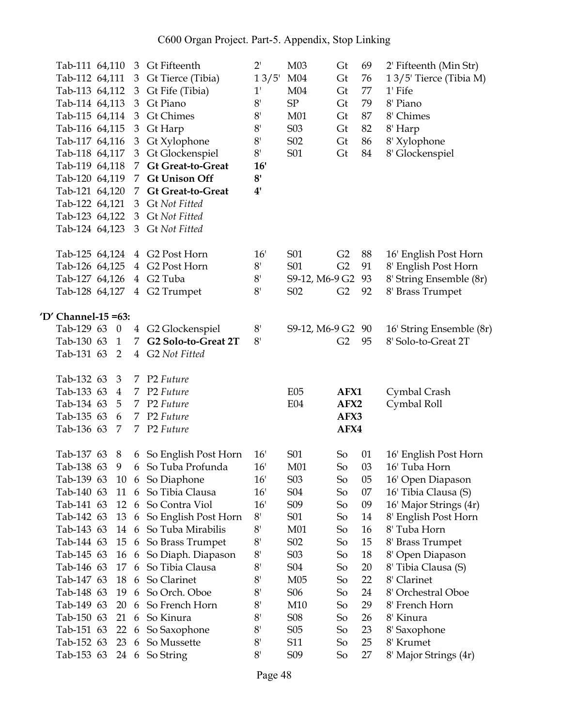| Tab-111 64,110          |                  | 3              | Gt Fifteenth                                 | $2^{\prime}$                             | M03              | Gt             | 69 | 2' Fifteenth (Min Str)                 |
|-------------------------|------------------|----------------|----------------------------------------------|------------------------------------------|------------------|----------------|----|----------------------------------------|
| Tab-112 64,111          |                  |                | 3 Gt Tierce (Tibia)                          | $13/5$ '                                 | M <sub>04</sub>  | Gt             | 76 | 13/5' Tierce (Tibia M)                 |
| Tab-113 64,112          |                  | 3              | Gt Fife (Tibia)                              | $1^{\prime}$                             | M <sub>04</sub>  | Gt             | 77 | 1' Fife                                |
| Tab-114 64,113          |                  | 3              | Gt Piano                                     | 8'                                       | SP               | Gt             | 79 | 8' Piano                               |
| Tab-115 64,114          |                  | 3              | <b>Gt Chimes</b>                             | 8'                                       | M01              | Gt             | 87 | 8' Chimes                              |
| Tab-116 64,115          |                  | 3              | Gt Harp                                      | 8'                                       | S <sub>03</sub>  | Gt             | 82 | 8' Harp                                |
| Tab-117 64,116          |                  | 3              | Gt Xylophone                                 | $8^{\scriptscriptstyle\mathsf{I}}$       | S <sub>0</sub> 2 | Gt             | 86 | 8' Xylophone                           |
| Tab-118 64,117          |                  | 3              | Gt Glockenspiel                              | $8^{\scriptscriptstyle\mathsf{I}}$       | S01              | Gt             | 84 | 8' Glockenspiel                        |
| Tab-119 64,118          |                  |                | 7 Gt Great-to-Great                          | 16'                                      |                  |                |    |                                        |
| Tab-120 64,119          |                  |                | 7 Gt Unison Off                              | 8'                                       |                  |                |    |                                        |
| Tab-121 64,120          |                  |                | 7 Gt Great-to-Great                          | 4'                                       |                  |                |    |                                        |
| Tab-122 64,121          |                  | 3              | <b>Gt Not Fitted</b>                         |                                          |                  |                |    |                                        |
| Tab-123 64,122          |                  |                | 3 Gt Not Fitted                              |                                          |                  |                |    |                                        |
| Tab-124 64,123          |                  |                | 3 Gt Not Fitted                              |                                          |                  |                |    |                                        |
| Tab-125 64,124          |                  |                | 4 G2 Post Horn                               | 16'                                      | S01              | G <sub>2</sub> | 88 | 16' English Post Horn                  |
| Tab-126 64,125          |                  |                | 4 G2 Post Horn                               | $8^{\scriptscriptstyle\mathsf{I}}$       | S01              | G2             | 91 | 8' English Post Horn                   |
| Tab-127 64,126          |                  |                | 4 G2 Tuba                                    | $8^{\scriptscriptstyle\mathsf{I}}$       | S9-12, M6-9 G2   |                | 93 | 8' String Ensemble (8r)                |
| Tab-128 64,127          |                  |                | 4 G2 Trumpet                                 | 8'                                       | S <sub>0</sub> 2 | G <sub>2</sub> | 92 | 8' Brass Trumpet                       |
| 'D' Channel-15 = $63$ : |                  |                |                                              |                                          |                  |                |    |                                        |
| Tab-129 63              | $\boldsymbol{0}$ | $\overline{4}$ | G2 Glockenspiel                              | $8^{\scriptscriptstyle\mathsf{I}}$       | S9-12, M6-9 G2   |                | 90 | 16' String Ensemble (8r)               |
| Tab-130 63              | 1                | 7              | G2 Solo-to-Great 2T                          | 8'                                       |                  | G <sub>2</sub> | 95 | 8' Solo-to-Great 2T                    |
|                         |                  |                | 4 G2 Not Fitted                              |                                          |                  |                |    |                                        |
| Tab-131 63              | 2                |                |                                              |                                          |                  |                |    |                                        |
| Tab-132 63              | 3                |                | 7 P2 Future                                  |                                          |                  |                |    |                                        |
| Tab-133 63              | 4                |                | 7 P2 Future                                  |                                          | E05              | AFX1           |    | Cymbal Crash                           |
| Tab-134 63              | 5                |                | 7 P2 Future                                  |                                          | E04              | AFX2           |    | Cymbal Roll                            |
| Tab-135 63              | 6                |                | 7 P2 Future                                  |                                          |                  | AFX3           |    |                                        |
| Tab-136 63              | 7                |                | 7 P2 Future                                  |                                          |                  | AFX4           |    |                                        |
| Tab-137 63              | 8                |                |                                              | 16'                                      | S01              | So             | 01 |                                        |
| Tab-138 63              | 9                |                | 6 So English Post Horn<br>6 So Tuba Profunda | 16'                                      | M01              | So             | 03 | 16' English Post Horn<br>16' Tuba Horn |
| Tab-139 63              |                  |                |                                              | 16'                                      | S <sub>0</sub> 3 | So             | 05 | 16' Open Diapason                      |
| Tab-140 63              | 11               | 6              | 10 6 So Diaphone<br>So Tibia Clausa          | 16'                                      | S <sub>04</sub>  | So             | 07 | 16' Tibia Clausa (S)                   |
| Tab-141 63              | 12               | 6              | So Contra Viol                               | 16'                                      | S <sub>09</sub>  | So             | 09 | 16' Major Strings (4r)                 |
| Tab-142 63              | 13               | 6              | So English Post Horn                         | $8^{\scriptscriptstyle\mathsf{I}}$       | S01              | So             | 14 | 8' English Post Horn                   |
| Tab-143 63              | 14               | 6              | So Tuba Mirabilis                            | $8'$                                     | M <sub>01</sub>  | So             | 16 | 8' Tuba Horn                           |
| Tab-144 63              | 15               | 6              | So Brass Trumpet                             | 8'                                       | S <sub>0</sub> 2 | So             | 15 | 8' Brass Trumpet                       |
| Tab-145 63              | 16               | 6              | So Diaph. Diapason                           | 8'                                       | S <sub>0</sub> 3 | So             | 18 | 8' Open Diapason                       |
| Tab-146 63              | 17               | 6              | So Tibia Clausa                              | 8'                                       | S04              | So             | 20 | 8' Tibia Clausa (S)                    |
| Tab-147 63              | 18               | 6              | So Clarinet                                  | $8'$                                     | M05              | So             | 22 | 8' Clarinet                            |
| Tab-148 63              | 19               | 6              | So Orch. Oboe                                | $8^{\scriptscriptstyle\mathsf{I}}$       | S <sub>06</sub>  | So             | 24 | 8' Orchestral Oboe                     |
| Tab-149 63              | 20               | 6              | So French Horn                               | $8^{\scriptscriptstyle \dagger}$         | M10              | So             | 29 | 8' French Horn                         |
| Tab-150 63              | 21               | 6              | So Kinura                                    | 8'                                       | <b>S08</b>       | So             | 26 | 8' Kinura                              |
| Tab-151 63              | 22               | 6              | So Saxophone                                 | 8'                                       | S <sub>05</sub>  | So             | 23 | 8' Saxophone                           |
| Tab-152 63              | 23               | 6              | So Mussette                                  | 8'<br>$8^{\scriptscriptstyle\mathsf{I}}$ | S11              | So             | 25 | 8' Krumet                              |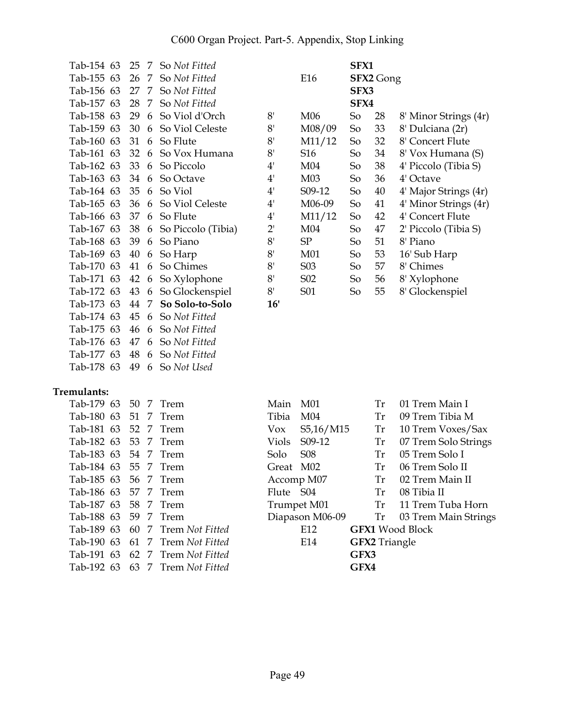| Tab-154 63 | 25 | 7              | So Not Fitted        |              |                  | SFX1 |                  |                       |
|------------|----|----------------|----------------------|--------------|------------------|------|------------------|-----------------------|
| Tab-155 63 | 26 | 7              | So Not Fitted        |              | E16              |      | <b>SFX2</b> Gong |                       |
| Tab-156 63 | 27 | $\overline{7}$ | So Not Fitted        |              |                  | SFX3 |                  |                       |
| Tab-157 63 | 28 | 7              | So Not Fitted        |              |                  | SFX4 |                  |                       |
| Tab-158 63 | 29 | 6              | So Viol d'Orch       | 8'           | M <sub>06</sub>  | So   | 28               | 8' Minor Strings (4r) |
| Tab-159 63 | 30 | 6              | So Viol Celeste      | 8'           | M08/09           | So   | 33               | 8' Dulciana (2r)      |
| Tab-160 63 | 31 | 6              | So Flute             | 8'           | M11/12           | So   | 32               | 8' Concert Flute      |
| Tab-161 63 | 32 | 6              | So Vox Humana        | 8'           | S <sub>16</sub>  | So   | 34               | 8' Vox Humana (S)     |
| Tab-162 63 | 33 | 6              | So Piccolo           | 4'           | M04              | So   | 38               | 4' Piccolo (Tibia S)  |
| Tab-163 63 | 34 | 6              | So Octave            | 4'           | M <sub>03</sub>  | So   | 36               | 4' Octave             |
| Tab-164 63 | 35 | 6              | So Viol              | $4^{\prime}$ | S09-12           | So   | 40               | 4' Major Strings (4r) |
| Tab-165 63 | 36 | 6              | So Viol Celeste      | 4'           | M06-09           | So   | 41               | 4' Minor Strings (4r) |
| Tab-166 63 | 37 | 6              | So Flute             | 4'           | M11/12           | So   | 42               | 4' Concert Flute      |
| Tab-167 63 | 38 |                | 6 So Piccolo (Tibia) | 2'           | M <sub>04</sub>  | So   | 47               | 2' Piccolo (Tibia S)  |
| Tab-168 63 | 39 | 6              | So Piano             | 8'           | SP               | So   | 51               | 8' Piano              |
| Tab-169 63 | 40 | 6              | So Harp              | 8'           | M <sub>01</sub>  | So   | 53               | 16' Sub Harp          |
| Tab-170 63 | 41 | 6              | So Chimes            | 8'           | S <sub>0</sub> 3 | So   | 57               | 8' Chimes             |
| Tab-171 63 | 42 | 6              | So Xylophone         | 8'           | S <sub>0</sub> 2 | So   | 56               | 8' Xylophone          |
| Tab-172 63 | 43 | 6              | So Glockenspiel      | 8'           | S01              | So   | 55               | 8' Glockenspiel       |
| Tab-173 63 | 44 | 7              | So Solo-to-Solo      | 16'          |                  |      |                  |                       |
| Tab-174 63 | 45 | 6              | So Not Fitted        |              |                  |      |                  |                       |
| Tab-175 63 | 46 | 6              | So Not Fitted        |              |                  |      |                  |                       |
| Tab-176 63 | 47 | 6              | So Not Fitted        |              |                  |      |                  |                       |
| Tab-177 63 | 48 | 6              | So Not Fitted        |              |                  |      |                  |                       |

## **Tremulants:**

| Tab-179 63 50 7 Trem |  |                                 | Main M01  |                     |                      | Tr        | 01 T |
|----------------------|--|---------------------------------|-----------|---------------------|----------------------|-----------|------|
| Tab-180 63 51 7 Trem |  |                                 | Tibia     | M04                 |                      | Tr        | 09 T |
| Tab-181 63 52 7 Trem |  |                                 | Vox       | S5,16/M15           |                      | <b>Tr</b> | 10T  |
| Tab-182 63 53 7 Trem |  |                                 | Viols     | S <sub>09</sub> -12 |                      | <b>Tr</b> | 07T  |
| Tab-183 63 54 7 Trem |  |                                 | Solo      | <b>S08</b>          |                      | <b>Tr</b> | 05T  |
| Tab-184 63 55 7 Trem |  |                                 |           | Great M02           |                      | <b>Tr</b> | 06T  |
| Tab-185 63 56 7 Trem |  |                                 |           | Accomp M07          |                      | Tr        | 02 T |
| Tab-186 63 57 7 Trem |  |                                 | Flute S04 |                     |                      | Tr        | 08 T |
| Tab-187 63 58 7 Trem |  |                                 |           | Trumpet M01         |                      | Tr        | 11T  |
| Tab-188 63 59 7 Trem |  |                                 |           | Diapason M06-09     |                      | Tr        | 03T  |
|                      |  | Tab-189 63 60 7 Trem Not Fitted |           | E12                 | <b>GFX1</b> Wood Bl  |           |      |
|                      |  | Tab-190 63 61 7 Trem Not Fitted |           | E14                 | <b>GFX2</b> Triangle |           |      |
|                      |  | Tab-191 63 62 7 Trem Not Fitted |           |                     | GFX3                 |           |      |
|                      |  | Tab-192 63 63 7 Trem Not Fitted |           |                     | GFX4                 |           |      |
|                      |  |                                 |           |                     |                      |           |      |

Tab-178 63 49 6 So *Not Used*

| Tab-179 63 50 7 Trem |  |                                 | Main M01 |                 |                      | Tr | 01 Trem Main I          |
|----------------------|--|---------------------------------|----------|-----------------|----------------------|----|-------------------------|
| Tab-180 63 51 7 Trem |  |                                 | Tibia    | M04             |                      |    | Tr 09 Trem Tibia M      |
| Tab-181 63 52 7 Trem |  |                                 | Vox      | S5,16/M15       |                      |    | Tr 10 Trem Voxes/Sax    |
| Tab-182 63 53 7 Trem |  |                                 | Viols    | S09-12          | Tr                   |    | 07 Trem Solo Strings    |
| Tab-183 63 54 7 Trem |  |                                 | Solo     | S08             | Tr                   |    | 05 Trem Solo I          |
| Tab-184 63 55 7 Trem |  |                                 |          | Great M02       |                      |    | Tr 06 Trem Solo II      |
| Tab-185 63 56 7 Trem |  |                                 |          | Accomp M07      |                      |    | Tr 02 Trem Main II      |
| Tab-186 63 57 7 Trem |  |                                 |          | Flute S04       |                      | Tr | 08 Tibia II             |
| Tab-187 63 58 7 Trem |  |                                 |          | Trumpet M01     |                      |    | Tr 11 Trem Tuba Horn    |
| Tab-188 63 59 7 Trem |  |                                 |          | Diapason M06-09 |                      |    | Tr 03 Trem Main Strings |
|                      |  | Tab-189 63 60 7 Trem Not Fitted |          | E12             |                      |    | <b>GFX1</b> Wood Block  |
|                      |  | Tab-190 63 61 7 Trem Not Fitted |          | E14             | <b>GFX2</b> Triangle |    |                         |
|                      |  | Tab-191 63 62 7 Trem Not Fitted |          |                 | GFX3                 |    |                         |
|                      |  | Tab-192 63 63 7 Trem Not Fitted |          |                 | GFX4                 |    |                         |
|                      |  |                                 |          |                 |                      |    |                         |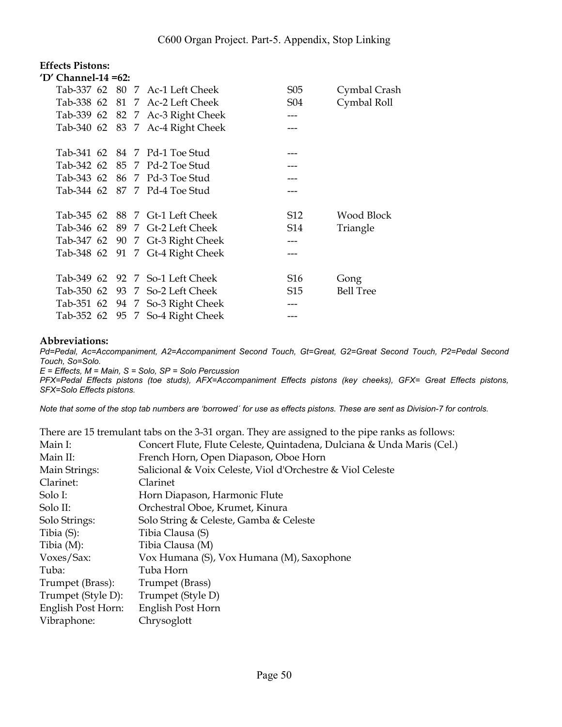## **Effects Pistons:**

| 'D' Channel-14 =62: |  |                                  |                 |                  |
|---------------------|--|----------------------------------|-----------------|------------------|
|                     |  | Tab-337 62 80 7 Ac-1 Left Cheek  | S <sub>05</sub> | Cymbal Crash     |
|                     |  | Tab-338 62 81 7 Ac-2 Left Cheek  | S04             | Cymbal Roll      |
|                     |  | Tab-339 62 82 7 Ac-3 Right Cheek |                 |                  |
|                     |  | Tab-340 62 83 7 Ac-4 Right Cheek | ---             |                  |
|                     |  |                                  |                 |                  |
|                     |  | Tab-341 62 84 7 Pd-1 Toe Stud    |                 |                  |
|                     |  | Tab-342 62 85 7 Pd-2 Toe Stud    |                 |                  |
|                     |  | Tab-343 62 86 7 Pd-3 Toe Stud    |                 |                  |
|                     |  | Tab-344 62 87 7 Pd-4 Toe Stud    |                 |                  |
|                     |  |                                  |                 |                  |
|                     |  | Tab-345 62 88 7 Gt-1 Left Cheek  | S12             | Wood Block       |
|                     |  | Tab-346 62 89 7 Gt-2 Left Cheek  | S14             | Triangle         |
|                     |  | Tab-347 62 90 7 Gt-3 Right Cheek | ---             |                  |
|                     |  | Tab-348 62 91 7 Gt-4 Right Cheek | ---             |                  |
|                     |  |                                  |                 |                  |
|                     |  | Tab-349 62 92 7 So-1 Left Cheek  | S <sub>16</sub> | Gong             |
|                     |  | Tab-350 62 93 7 So-2 Left Cheek  | S15             | <b>Bell Tree</b> |
|                     |  | Tab-351 62 94 7 So-3 Right Cheek |                 |                  |
|                     |  | Tab-352 62 95 7 So-4 Right Cheek |                 |                  |

#### **Abbreviations:**

*Pd=Pedal, Ac=Accompaniment, A2=Accompaniment Second Touch, Gt=Great, G2=Great Second Touch, P2=Pedal Second Touch, So=Solo.* 

*E = Effects, M = Main, S = Solo, SP = Solo Percussion* 

*PFX=Pedal Effects pistons (toe studs), AFX=Accompaniment Effects pistons (key cheeks), GFX= Great Effects pistons, SFX=Solo Effects pistons.* 

*Note that some of the stop tab numbers are 'borrowed´ for use as effects pistons. These are sent as Division-7 for controls.* 

|                    | There are 15 tremulant tabs on the 3-31 organ. They are assigned to the pipe ranks as follows: |
|--------------------|------------------------------------------------------------------------------------------------|
| Main I:            | Concert Flute, Flute Celeste, Quintadena, Dulciana & Unda Maris (Cel.)                         |
| Main II:           | French Horn, Open Diapason, Oboe Horn                                                          |
| Main Strings:      | Salicional & Voix Celeste, Viol d'Orchestre & Viol Celeste                                     |
| Clarinet:          | Clarinet                                                                                       |
| Solo I:            | Horn Diapason, Harmonic Flute                                                                  |
| Solo II:           | Orchestral Oboe, Krumet, Kinura                                                                |
| Solo Strings:      | Solo String & Celeste, Gamba & Celeste                                                         |
| Tibia $(S)$ :      | Tibia Clausa (S)                                                                               |
| Tibia $(M)$ :      | Tibia Clausa (M)                                                                               |
| Voxes/Sax:         | Vox Humana (S), Vox Humana (M), Saxophone                                                      |
| Tuba:              | Tuba Horn                                                                                      |
| Trumpet (Brass):   | Trumpet (Brass)                                                                                |
| Trumpet (Style D): | Trumpet (Style D)                                                                              |
| English Post Horn: | English Post Horn                                                                              |
| Vibraphone:        | Chrysoglott                                                                                    |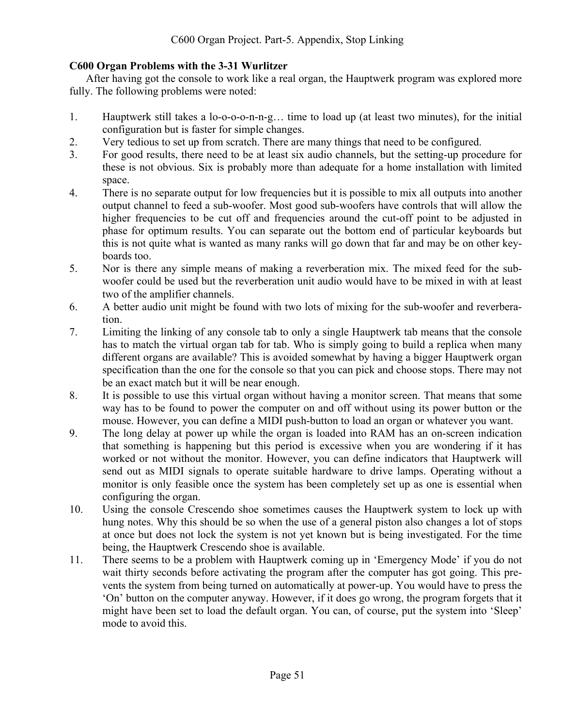## **C600 Organ Problems with the 3-31 Wurlitzer**

After having got the console to work like a real organ, the Hauptwerk program was explored more fully. The following problems were noted:

- 1. Hauptwerk still takes a lo-o-o-o-n-n-g… time to load up (at least two minutes), for the initial configuration but is faster for simple changes.
- 2. Very tedious to set up from scratch. There are many things that need to be configured.
- 3. For good results, there need to be at least six audio channels, but the setting-up procedure for these is not obvious. Six is probably more than adequate for a home installation with limited space.
- 4. There is no separate output for low frequencies but it is possible to mix all outputs into another output channel to feed a sub-woofer. Most good sub-woofers have controls that will allow the higher frequencies to be cut off and frequencies around the cut-off point to be adjusted in phase for optimum results. You can separate out the bottom end of particular keyboards but this is not quite what is wanted as many ranks will go down that far and may be on other keyboards too.
- 5. Nor is there any simple means of making a reverberation mix. The mixed feed for the subwoofer could be used but the reverberation unit audio would have to be mixed in with at least two of the amplifier channels.
- 6. A better audio unit might be found with two lots of mixing for the sub-woofer and reverberation.
- 7. Limiting the linking of any console tab to only a single Hauptwerk tab means that the console has to match the virtual organ tab for tab. Who is simply going to build a replica when many different organs are available? This is avoided somewhat by having a bigger Hauptwerk organ specification than the one for the console so that you can pick and choose stops. There may not be an exact match but it will be near enough.
- 8. It is possible to use this virtual organ without having a monitor screen. That means that some way has to be found to power the computer on and off without using its power button or the mouse. However, you can define a MIDI push-button to load an organ or whatever you want.
- 9. The long delay at power up while the organ is loaded into RAM has an on-screen indication that something is happening but this period is excessive when you are wondering if it has worked or not without the monitor. However, you can define indicators that Hauptwerk will send out as MIDI signals to operate suitable hardware to drive lamps. Operating without a monitor is only feasible once the system has been completely set up as one is essential when configuring the organ.
- 10. Using the console Crescendo shoe sometimes causes the Hauptwerk system to lock up with hung notes. Why this should be so when the use of a general piston also changes a lot of stops at once but does not lock the system is not yet known but is being investigated. For the time being, the Hauptwerk Crescendo shoe is available.
- 11. There seems to be a problem with Hauptwerk coming up in 'Emergency Mode' if you do not wait thirty seconds before activating the program after the computer has got going. This prevents the system from being turned on automatically at power-up. You would have to press the 'On' button on the computer anyway. However, if it does go wrong, the program forgets that it might have been set to load the default organ. You can, of course, put the system into 'Sleep' mode to avoid this.